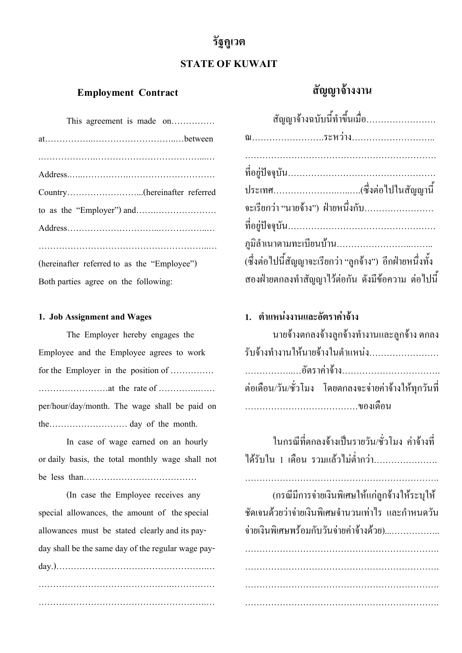# **รัฐคูเวต**

## **STATE OF KUWAIT**

### **Employment Contract**

| This agreement is made on                   |
|---------------------------------------------|
|                                             |
|                                             |
|                                             |
|                                             |
|                                             |
|                                             |
|                                             |
| (hereinafter referred to as the "Employee") |
| Both parties agree on the following:        |

### **1. Job Assignment and Wages**

The Employer hereby engages the Employee and the Employee agrees to work for the Employer in the position of …………… ……………………at the rate of …………..…… per/hour/day/month. The wage shall be paid on the……………………… day of the month.

In case of wage earned on an hourly or daily basis, the total monthly wage shall not be less than…………………………………

(In case the Employee receives any special allowances, the amount of the special allowances must be stated clearly and its payday shall be the same day of the regular wage payday.)…………………………………………….… ……………………………………….…………… ………………………………………………….…

| สัญญาจ้างฉบับนี้ทำขึ้นเมื่อ                              |
|----------------------------------------------------------|
|                                                          |
|                                                          |
|                                                          |
|                                                          |
| จะเรียกว่า "นายจ้าง")  ฝ่ายหนึ่งกับ……………………              |
|                                                          |
|                                                          |
| (ซึ่งต่อไปนี้สัญญาจะเรียกว่า "ลูกจ้าง") อีกฝ่ายหนึ่งทั้ง |
| สองฝ่ายตกลงทำสัญญาไว้ต่อกัน ดังมีข้อความ ต่อไปนี้        |

**สัญญาจ างงาน** ׅ֚֚֡֜֝֬֝֟֟֟

## **1. ตําแหนงงานและอัตราคาจาง**

| ้นายจ้างตกลงจ้างลูกจ้างทำงานและลูกจ้าง ตกลง           |
|-------------------------------------------------------|
| รับจ้างทำงานให้นายจ้างในตำแหน่ง                       |
|                                                       |
| ต่อเดือน/วัน/ชั่วโมง โดยตกลงจะจ่ายค่าจ้างให้ทุกวันที่ |
|                                                       |

ในกรณีที่ตกลงจ้างเป็นรายวัน/ชั่วโมง ค่าจ้างที่  $\overline{\phantom{a}}$ ใด้รับใน 1 เดือน รวมแล้วไม่ต่ำกว่า…………………

………………………………………………………….

(กรณีมีการจ่ายเงินพิเศษให้แก่ลูกจ้างให้ระบุให้ ชัดเจนด วยวาจายเงินพิเศษจํานวนเทาไร และกําหนดวัน  $\overline{a}$ จ่ายเงินพิเศษพร้อมกับวันจ่ายค่าจ้างด้วย).................... ֖֖֚֚֚֚֚֚֚֚֚֡֝֝<br>֧֖֖֧֚֚֚֚֚֚֚֚֚֚֚֚֚֚֚֚֚֚֚֚֝֝֝<br>֧֚֝  $\overline{\phantom{a}}$ 

…………………………………………………………. …………………………………………………………. …………………………………………………………. ……………………………………………………………………………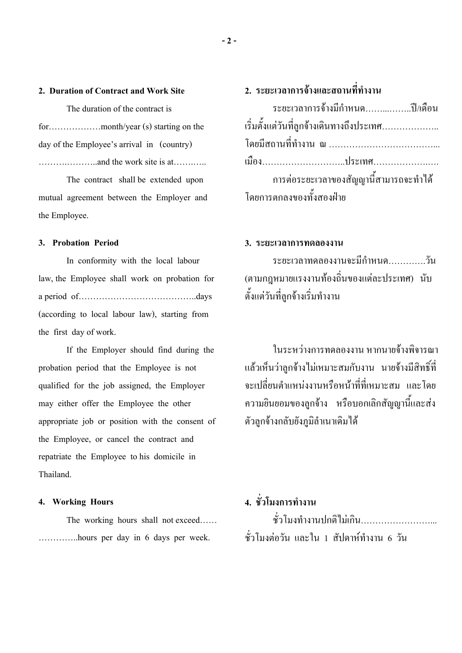### **2. Duration of Contract and Work Site**

The duration of the contract is for………………month/year (s) starting on the day of the Employee's arrival in (country) ……….………..and the work site is at…….…..

The contract shall be extended upon mutual agreement between the Employer and the Employee.

### **3. Probation Period**

In conformity with the local labour law, the Employee shall work on probation for a period of…………………………………..days (according to local labour law), starting from the first day of work.

If the Employer should find during the probation period that the Employee is not qualified for the job assigned, the Employer may either offer the Employee the other appropriate job or position with the consent of the Employee, or cancel the contract and repatriate the Employee to his domicile in Thailand.

### **4. Working Hours**

The working hours shall not exceed…… …………..hours per day in 6 days per week.

# **2. ระยะเวลาการจางและสถานที่ทํางาน**

| ระยะเวลาการจ้างมีกำหนดปี/เดือน            |  |
|-------------------------------------------|--|
| เริ่มตั้งแต่วันที่ลูกจ้างเดินทางถึงประเทศ |  |
|                                           |  |
|                                           |  |
|                                           |  |
| การต่อระยะเวลาของสัญญานี้สามารถจะทำใด้    |  |

### **3. ระยะเวลาการทดลองงาน**

ระยะเวลาทดลองงานจะมีกําหนด………….วัน (ตามกฎหมายแรงงานท องถิ่นของแตละประเทศ) นับ  $\ddot{\phantom{a}}$ ตั้งแตวันที่ลูกจ างเริ่มทํางาน 

ในระหว่างการทดลองงาน หากนายจ้างพิจารณา แล้วเห็นว่าลูกจ้างไม่เหมาะสมกับงาน นายจ้างมีสิทธิ์ที่  $\overline{\phantom{a}}$ ็  $\overline{a}$ จะเปลี่ยนตำแหน่งงานหรือหน้าที่ที่เหมาะสม และโดย  $\overline{\phantom{a}}$ ความยินยอมของลูกจ าง หรือบอกเลิกสัญญานี้และสง ֖֖֚֚֚֚֚֚֚֚֚֡֝֝<br>֧֖֖֧֚֚֚֚֚֚֚֚֚֚֚֚֚֚֚֚֚֚֚֚֝֝֝<br>֧֚֝ ตัวลูกจ างกลับยังภูมิลําเนาเดิมได  $\overline{\phantom{a}}$ 

# **4. ชั่วโมงการทํางาน**

ชั่วโมงทำงานปกติไม่เกิน……………………. ชั่วโมงตอวัน และใน 1 สัปดาหทํางาน 6 วัน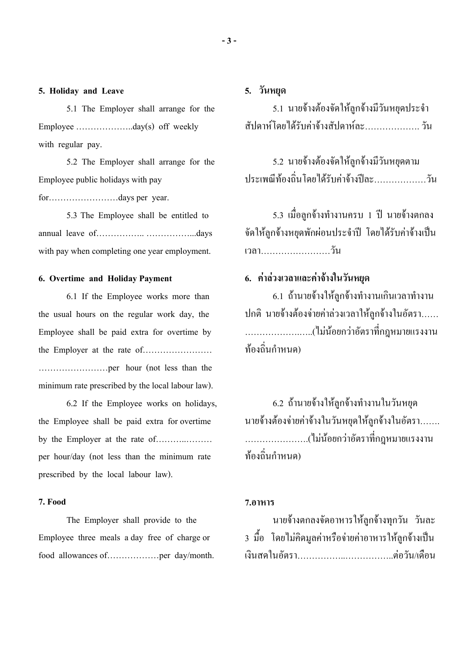#### **5. Holiday and Leave**

5.1 The Employer shall arrange for the Employee ………………..day(s) off weekly with regular pay.

5.2 The Employer shall arrange for the Employee public holidays with pay

for……………………days per year.

5.3 The Employee shall be entitled to annual leave of…………….. ……………...days with pay when completing one year employment.

### **6. Overtime and Holiday Payment**

6.1 If the Employee works more than the usual hours on the regular work day, the Employee shall be paid extra for overtime by the Employer at the rate of…………………… ……………………per hour (not less than the minimum rate prescribed by the local labour law).

6.2 If the Employee works on holidays, the Employee shall be paid extra for overtime by the Employer at the rate of………..……… per hour/day (not less than the minimum rate prescribed by the local labour law).

### **7. Food**

The Employer shall provide to the Employee three meals a day free of charge or food allowances of………………per day/month.

### **5. วันหยุด**

5.1 นายจ้างต้องจัดให้ลูกจ้างมีวันหยุดประจำ  $\overline{\phantom{a}}$  $\overline{a}$ ֖֖֚֚֚֚֚֚֚֚֚֚֚֡֝֝<br>֧֖֖֧֖֧֧֚֚֚֚֚֚֚֚֚֚֚֚֚֚֚֚֚֚֚֚֚֚֚֚֝֝֝֝<br>֧֚֚֚֝ สัปดาห์โดยใด้รับค่าจ้างสัปดาห์ละ………………… วัน

5.2 นายจ้างต้องจัดให้ลูกจ้างมีวันหยุดตาม  $\overline{\phantom{a}}$  $\overline{a}$  $\overline{a}$ ประเพณีท องถิ่นโดยได รับคาจ างปละ………………วัน  $\overline{a}$ 

5.3 เมื่อลูกจ้างทำงานครบ 1 ปี นายจ้างตกลง  $\overline{\phantom{a}}$ จัดให้ลูกจ้างหยุดพักผ่อนประจำปี โดยใด้รับค่าจ้างเป็น<br>เวลา………………………วัน  $\overline{a}$ 

## **6. คาลวงเวลาและคาจางในวันหยุด**

6.1 ถ้านายจ้างให้ลูกจ้างทำงานเกินเวลาทำงาน  $\ddot{\phantom{a}}$  $\overline{\phantom{a}}$ ปกติ นายจ้างต้องจ่ายค่าล่วงเวลาให้ลูกจ้างในอัตรา......  $\ddot{\phantom{a}}$ ……………….…..(ไมน อยกวาอัตราที่กฎหมายแรงงาน  $\ddot{\phantom{a}}$ ท องถิ่นกําหนด)  $\overline{a}$ 

6.2 ถ้านายจ้างให้ลูกจ้างทำงานในวันหยุด  $\ddot{\phantom{a}}$  นายจ้างต้องจ่ายค่าจ้างในวันหยุดให้ลูกจ้างในอัตรา…….  $\overline{a}$  $\overline{a}$ ………………….(ไมน อยกวาอัตราที่กฎหมายแรงงาน  $\ddot{\phantom{a}}$ ท องถิ่นกําหนด)  $\overline{a}$ 

#### **7.อาหาร**

นายจ างตกลงจัดอาหารให ลูกจ างทุกวัน วันละ  $\overline{\phantom{a}}$  $\overline{\phantom{a}}$ 3 มอื้ โดยไมคิดมูลคาหรือจายคาอาหารให ลูกจ างเป นเงินสดในอัตรา……………..……………..ตอวัน/เดือน

**- 3 -**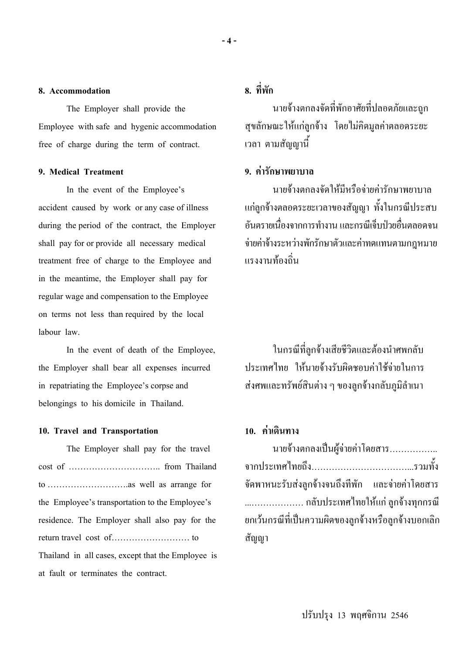### **8. Accommodation**

The Employer shall provide the Employee with safe and hygenic accommodation free of charge during the term of contract.

### **9. Medical Treatment**

In the event of the Employee's accident caused by work or any case of illness during the period of the contract, the Employer shall pay for or provide all necessary medical treatment free of charge to the Employee and in the meantime, the Employer shall pay for regular wage and compensation to the Employee on terms not less than required by the local labour law.

In the event of death of the Employee, the Employer shall bear all expenses incurred in repatriating the Employee's corpse and belongings to his domicile in Thailand.

### **10. Travel and Transportation**

The Employer shall pay for the travel cost of ………………………….. from Thailand to ……………………….as well as arrange for the Employee's transportation to the Employee's residence. The Employer shall also pay for the return travel cost of……………………… to Thailand in all cases, except that the Employee is at fault or terminates the contract.

# **8. ที่พัก**

นายจ างตกลงจัดที่พักอาศัยที่ปลอดภัยและถูก ֖֖֚֚֚֚֚֚֚֚֚֚֚֡֝֝<br>֧֖֖֧֖֧֧֚֚֚֚֚֚֚֚֚֚֚֚֚֚֚֚֚֚֚֚֚֚֚֚֝֝֝֝<br>֧֚֚֚֝ สุขลักษณะให แกลูกจ าง โดยไมคิดมูลคาตลอดระยะ  $\overline{\phantom{a}}$ เวลา ตามสัญญานี้

### **9. คารักษาพยาบาล**

นายจ างตกลงจัดให มีหรือจายคารักษาพยาบาล  $\overline{a}$ แก่ลูกจ้างตลอดระยะเวลาของสัญญา ทั้งในกรณีประสบ อันตรายเนื่องจากการทำงาน และกรณีเจ็บป่วยอื่นตลอดจน จ่ายค่าจ้างระหว่างพักรักษาตัวและค่าทดแทนตามกฎหมาย ֖֖֖֚֚֚֚֚֚֚֚֡֝֝<br>֧֚֚֝<br>֧֖֖֖֖֚֚֚֚֚֚֚֚֝֝֝֝֝<u>֚</u> แรงงานท องถิ่น  $\ddot{\phantom{a}}$ 

ในกรณีที่ลูกจ้างเสียชีวิตและต้องนำศพกลับ  $\ddot{\phantom{a}}$ ประเทศไทย ให้นายจ้างรับผิดชอบค่าใช้จ่ายในการ  $\overline{\phantom{a}}$ ส่งศพและทรัพย์สินต่าง ๆ ของลูกจ้างกลับภูมิลำเนา  $\ddot{\phantom{a}}$ 

### **10. คาเดินทาง**

| นายจ้างตกลงเป็นผู้จ่ายค่าโดยสาร                      |
|------------------------------------------------------|
|                                                      |
| จัดพาหนะรับส่งถูกจ้างจนถึงที่พัก และจ่ายค่าโดยสาร    |
| กลับประเทศไทยให้แก่ ลูกจ้างทุกกรณี                   |
| ยกเว้นกรณีที่เป็นความผิดของลูกจ้างหรือลูกจ้างบอกเลิก |
| สัญญา                                                |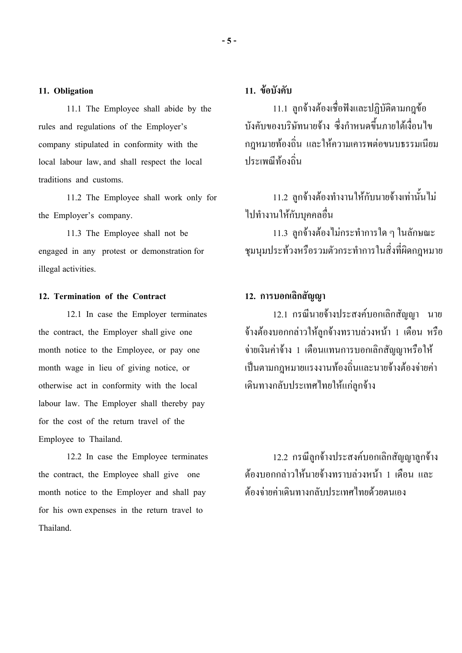### **11. Obligation**

11.1 The Employee shall abide by the rules and regulations of the Employer's company stipulated in conformity with the local labour law, and shall respect the local traditions and customs.

11.2 The Employee shall work only for the Employer's company.

11.3 The Employee shall not be engaged in any protest or demonstration for illegal activities.

### **12. Termination of the Contract**

12.1 In case the Employer terminates the contract, the Employer shall give one month notice to the Employee, or pay one month wage in lieu of giving notice, or otherwise act in conformity with the local labour law. The Employer shall thereby pay for the cost of the return travel of the Employee to Thailand.

12.2 In case the Employee terminates the contract, the Employee shall give one month notice to the Employer and shall pay for his own expenses in the return travel to Thailand.

### **11. ขอบังคับ**

11.1 ลูกจ างต องเชื่อฟงและปฏิบัติตามกฎข  $\overline{a}$  $\overline{a}$  $\overline{a}$ ี 11.1 ลูกจ้างต้องเชื่อฟังและปฏิบัติตามกฎข้อ<br>บังคับของบริษัทนายจ้าง ซึ่งกำหนดขึ้นภายใต้เงื่อนไข ֖֖֚֚֚֚֚֚֚֚֚֡֝֝<br>֧֖֖֧֚֚֚֚֚֚֚֚֚֚֚֚֚֚֚֚֚֚֚֚֝֝֝<br>֧֚֝ กฎหมายท องถิ่น และให ความเคารพตอขนบธรรมเนียม ֖֚֚֚֚֚֡<br>֧֚֚֝ ประเพณีท องถิ่น  $\ddot{\phantom{a}}$ 

11.2 ลูกจ้างต้องทำงานให้กับนายจ้างเท่านั้นไม่  $\overline{a}$ ֖֚֚֚֚֚֡<br>֧֚֚֝ ไปทํางานให กับบุคคลอื่น

11.3 ลูกจ างต องไมกระทําการใด ๆ ในลักษณะ  $\overline{a}$ ชุมนุมประท วงหรือรวมตัวกระทําการในสิ่งที่ผิดกฎหมาย

## **12. การบอกเลิกสัญญา**

12.1 กรณีนายจ างประสงคบอกเลิกสัญญา นาย จ้างต้องบอกกล่าวให้ลูกจ้างทราบล่วงหน้า 1 เดือน หรือ  $\overline{a}$  $\overline{a}$  $\overline{\phantom{a}}$  $\overline{\phantom{a}}$ จ่ายเงินค่าจ้าง 1 เดือนแทนการบอกเลิกสัญญาหรือให้  $\overline{\phantom{a}}$ เป็นตามกฎหมายแรงงานท้องถิ่นและนายจ้างต้องจ่ายค่า  $\ddot{\phantom{a}}$  $\overline{a}$ ֖֚֚֚֚֚֡<br>֧֚֚֝ เดินทางกลับประเทศไทยให้แก่ลูกจ้าง  $\overline{\phantom{a}}$ 

12.2 กรณีลูกจ้างประสงค์บอกเลิกสัญญาลูกจ้าง  $\overline{\phantom{a}}$ ต้องบอกกล่าวให้นายจ้างทราบล่วงหน้า 1 เดือน และ  $\ddot{\phantom{a}}$ ֖֖֚֚֚֚֚֚֚֚֚֡֝֝<br>֧֖֖֖֪ׅ֦֧֚֚֚֚֚֚֚֚֚֚֚֚֚֚֚֚֚֚֚֚֚֚֚֝֝֝֝֡<br>֧֪֚֝  $\overline{\phantom{a}}$ ต องจายคาเดินทางกลับประเทศไทยด วยตนเอง  $\ddot{\phantom{a}}$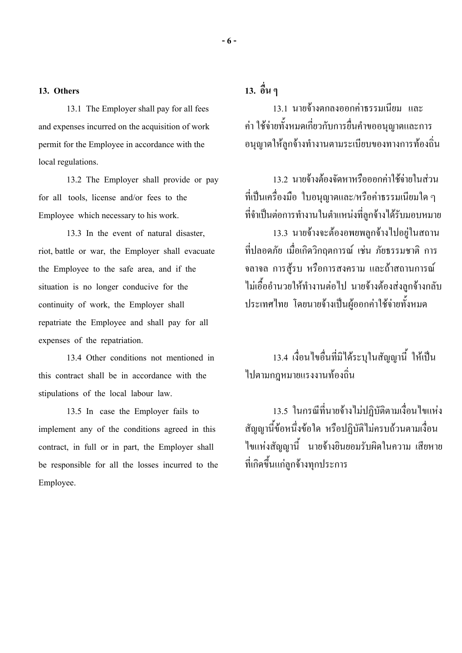#### **13. Others**

13.1 The Employer shall pay for all fees and expenses incurred on the acquisition of work permit for the Employee in accordance with the local regulations.

13.2 The Employer shall provide or pay for all tools, license and/or fees to the Employee which necessary to his work.

13.3 In the event of natural disaster, riot, battle or war, the Employer shall evacuate the Employee to the safe area, and if the situation is no longer conducive for the continuity of work, the Employer shall repatriate the Employee and shall pay for all expenses of the repatriation.

13.4 Other conditions not mentioned in this contract shall be in accordance with the stipulations of the local labour law.

13.5 In case the Employer fails to implement any of the conditions agreed in this contract, in full or in part, the Employer shall be responsible for all the losses incurred to the Employee.

# **13. อื่น ๆ**

13.1 นายจ างตกลงออกคาธรรมเนียม และ  $\overline{a}$ คา ใช จายทั้งหมดเกี่ยวกับการยื่นคําขออนุญาตและการ อนุญาตให้ลูกจ้างทำงานตามระเบียบของทางการท้องถิ่น  $\overline{a}$  $\ddot{\phantom{a}}$ 

13.2 นายจ้างต้องจัดหาหรือออกค่าใช้จ่ายในส่วน  $\overline{\phantom{a}}$  $\ddot{\phantom{a}}$ ที่เป็นเครื่องมือ ใบอนุญาตและ/หรือค่าธรรมเนียมใด ๆ ที่จำเป็นต่อการทำงานในตำแหน่งที่ลูกจ้างได้รับมอบหมาย ֘֒ 13.3 นายจ้างจะต้องอพยพลูกจ้างไปอยู่ในสถาน  $\overline{a}$ ที่ปลอดภัย เมื่อเกิดวิกฤตการณ เชน ภัยธรรมชาติ การ จลาจล การสู รบ หรือการสงคราม และถ าสถานการณ ใม่เอื้ออำนวยให้ทำงานต่อไป นายจ้างต้องส่งลูกจ้างกลับ  $\overline{a}$ ประเทศไทย โดยนายจ้างเป็นผู้ออกค่าใช้จ่ายทั้งหมด

13.4 เงื่อนไขอื่นที่มิได ระบุในสัญญานี้ ใหเป นไปตามกฎหมายแรงงานท ใปตามกฎหมายแรงงานท้องถิ่น

13.5 ในกรณีที่นายจ้างไม่ปฏิบัติตามเงื่อนไขแห่ง สัญญานี้ข้อหนึ่งข้อใด หรือปฏิบัติไม่ครบถ้วนตามเงื่อน  $\ddot{\phantom{a}}$  $\overline{\phantom{a}}$ ไขแหงสัญญานี้ นายจ างยินยอมรับผิดในความ เสียหาย  $\overline{a}$ ที่เกิดขึ้นแก่ลูกจ้างทุกประการ ֖֖֚֚֚֚֚֚֚֚֚֡֝֝<br>֧֖֖֖֪ׅ֦֧֚֚֚֚֚֚֚֚֚֚֚֚֚֚֚֚֚֚֚֚֚֚֚֝֝֝֝֡<br>֧֪֚֝